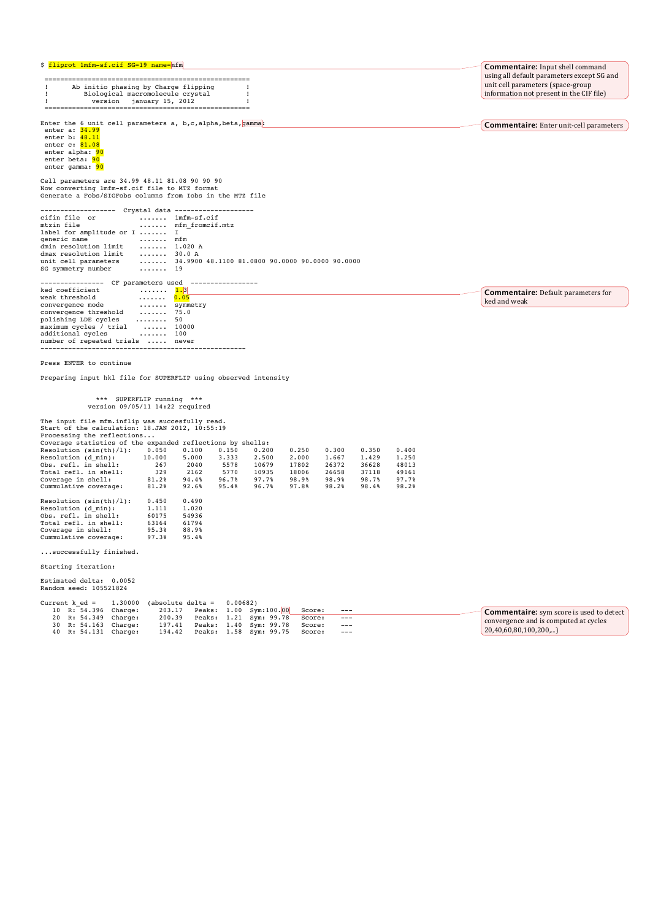|  |  |  |  | \$ <mark>fliprot 1mfm-sf.cif SG=19 name=</mark> mfm |
|--|--|--|--|-----------------------------------------------------|
|--|--|--|--|-----------------------------------------------------|

 ====================================================  $\begin{array}{ll} \text{1} & \text{Ab initio phasing by Charge flipping} \\ \text{1} & \text{biological macromolecule} \\ \text{2} & \text{version} \\ \text{3} & \text{version} \\ \text{4} & \text{version} \\ \text{5} & \text{5} \\ \text{6} & \text{5} \\ \text{7} & \text{6} \\ \text{8} & \text{6} \\ \text{9} & \text{7} \\ \text{10} & \text{11} \\ \text{11} & \text{12} \\ \text{12} & \text{13} \\ \text{13} &$ 

Enter the 6 unit cell parameters  $a, b, c, a$ lpha, beta,  $q$ amma:

enter a: <mark>34.99</mark><br>enter b: <mark>48.11</mark><br>enter c: <mark>81.08</mark> enter alpha: 90 enter beta: 90 enter gamma: 90

Cell parameters are 34.99 48.11 81.08 90 90 90 Now converting 1mfm-sf.cif file to MTZ format Generate a Fobs/SIGFobs columns from Iobs in the MTZ file

------------------- Crystal data ------------------- cifin file or ....... 1mfm-sf.cif mtzin file ....... mfm\_fromcif.mtz label for amplitude or I ....... I generic name ....... mfm dmin resolution limit ....... 1.020 A dmax resolution limit ....... 30.0 A unit cell parameters ....... 34.9900 48.1100 81.0800 90.0000 90.0000 90.0000 unit cell parameters<br>SG symmetry number ---------------- CF parameters used ----------------- ked coefficient ....... 1.3 weak threshold ....... 0.05

| weak threshold                   | 0.05               |          |
|----------------------------------|--------------------|----------|
| convergence mode                 |                    | symmetry |
| convergence threshold            | $\dots \dots$ 75.0 |          |
| polishing LDE cycles             | 50                 |          |
| maximum cycles / trial  10000    |                    |          |
| additional cycles                | . 100              |          |
| number of repeated trials  never |                    |          |
|                                  |                    |          |
|                                  |                    |          |

Press ENTER to continue

Preparing input hkl file for SUPERFLIP using observed intensity

#### \*\*\* SUPERFLIP running \*\*\* version 09/05/11 14:22 required

The input file mfm.inflip was succesfully read.<br>Start of the calculation: 18.JAN 2012, 10:55:19<br>Processing the reflections...<br>Coverage statistics of the expanded reflections by shells: Resolution (sin(th)/1): 0.050 0.100 0.150 0.200 0.250 0.300 0.350 0.400<br>Resolution (d\_min): 10.000 5.000 3.333 2.500 2.000 1.667 1.429 1.250<br>0bs. refl. in shell: 267 2040 5578 10679 17802 26372 36628 48013<br>Total refl. in s Coverage in shell: 81.2% 94.4% 96.7% 97.7% 98.9% 98.9% 98.7% 97.7%<br>Cummulative coverage: 81.2% 92.6% 95.4% 96.7% 97.8% 98.2% 98.4% 98.2% Resolution (sin(th)/l): 0.450 0.490<br>Resolution (d\_min): 1.111 1.020<br>Obs. refl. in shell: 60175 54936 Resolution (d\_min): 1.111 1.020<br>Obs. refl. in shell: 60175 54936<br>Total refl. in shell: 63164 61794<br>Coverage in shell: 95.3% 88.9%<br>Cummulative coverage: 97.3% 95.4%

...successfully finished.

Starting iteration:

Estimated delta: 0.0052 Random seed: 105521824

| Current $k$ ed $=$   | $1.30000$ (absolute delta = 0.00682) |  |                                               |        |       |                                                 |
|----------------------|--------------------------------------|--|-----------------------------------------------|--------|-------|-------------------------------------------------|
| 10 R: 54.396 Charge: |                                      |  | 203.17    Peaks: 1.00    Sym:100.00    Score: |        | $---$ | <b>Commentaire:</b> sym score is used to detect |
| 20 R: 54.349 Charge: | 200.39                               |  | Peaks: 1.21 Sym: 99.78                        | Score: | $---$ | convergence and is computed at cycles           |
| 30 R: 54.163 Charge: | 197.41                               |  | Peaks: 1.40 Sym: 99.78 Score:                 |        | $---$ |                                                 |
| 40 R: 54.131 Charge: |                                      |  | 194.42 Peaks: 1.58 Sym: 99.75 Score:          |        | $---$ | 20,40,60,80,100,200,                            |

**Commentaire:** Input shell command using all default parameters except SG and unit cell parameters (space-group information not present in the CIF file)

**Commentaire:** Enter unit-cell parameters

**Commentaire:** Default parameters for

ked and weak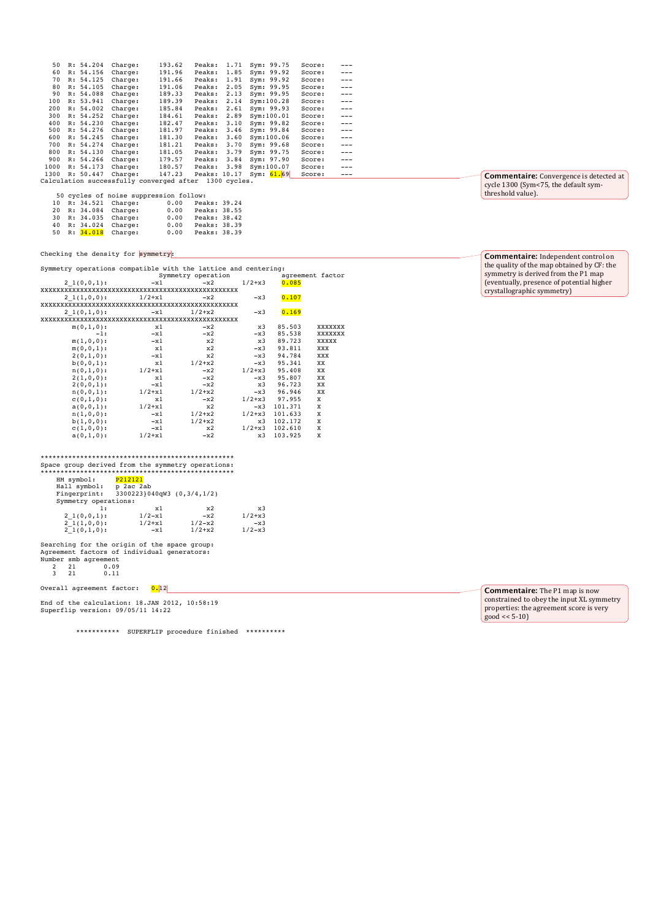| 50   |                                                          | R: 54.204 | Charge: | 193.62 | Peaks:       | 1.71 | Sym: 99.75   | Score: | $- - -$ |
|------|----------------------------------------------------------|-----------|---------|--------|--------------|------|--------------|--------|---------|
| 60   |                                                          | R: 54.156 | Charge: | 191.96 | Peaks:       | 1.85 | Sym: 99.92   | Score: | $---$   |
| 70   |                                                          | R: 54.125 | Charge: | 191.66 | Peaks:       | 1.91 | Sym: 99.92   | Score: | $---$   |
| 80   |                                                          | R: 54.105 | Charge: | 191.06 | Peaks:       | 2.05 | Sym: 99.95   | Score: | $---$   |
| 90   |                                                          | R: 54.088 | Charge: | 189.33 | Peaks:       | 2.13 | Sym: 99.95   | Score: | $---$   |
| 100  |                                                          | R: 53.941 | Charge: | 189.39 | Peaks:       | 2.14 | Sym: 100.28  | Score: | $---$   |
| 200  |                                                          | R: 54.002 | Charge: | 185.84 | Peaks:       | 2.61 | Sym: 99.93   | Score: | $---$   |
| 300  |                                                          | R: 54.252 | Charge: | 184.61 | Peaks:       | 2.89 | Sym: 100.01  | Score: | $---$   |
| 400  |                                                          | R: 54.230 | Charge: | 182.47 | Peaks:       | 3.10 | Sym: 99.82   | Score: | $---$   |
| 500  |                                                          | R: 54.276 | Charge: | 181.97 | Peaks:       | 3.46 | Sym: 99.84   | Score: | $---$   |
| 600  |                                                          | R: 54.245 | Charge: | 181.30 | Peaks:       | 3.60 | Svm:100.06   | Score: | $---$   |
| 700  |                                                          | R: 54.274 | Charge: | 181.21 | Peaks:       | 3.70 | Sym: 99.68   | Score: | $---$   |
| 800  |                                                          | R: 54.130 | Charge: | 181.05 | Peaks:       | 3.79 | Sym: 99.75   | Score: | $---$   |
| 900  |                                                          | R: 54.266 | Charge: | 179.57 | Peaks:       | 3.84 | Sym: 97.90   | Score: | $---$   |
| 1000 |                                                          | R: 54.173 | Charge: | 180.57 | Peaks:       | 3.98 | Sym: 100.07  | Score: | $---$   |
| 1300 |                                                          | R: 50.447 | Charge: | 147.23 | Peaks: 10.17 |      | Svm: $61.69$ | Score: |         |
|      | Calculation successfully converged after<br>1300 cycles. |           |         |        |              |      |              |        |         |
|      |                                                          |           |         |        |              |      |              |        |         |

|    |              | 50 cycles of noise suppression follow: |      |              |  |
|----|--------------|----------------------------------------|------|--------------|--|
| 10 |              | R: 34.521 Charge:                      | 0.00 | Peaks: 39.24 |  |
| 20 |              | R: 34.084 Charge:                      | 0.00 | Peaks: 38.55 |  |
|    | 30 R: 34.035 | Charge:                                | 0.00 | Peaks: 38.42 |  |
| 40 | R: 34.024    | Charge:                                | 0.00 | Peaks: 38.39 |  |
| 50 |              | R: 34.018 Charge:                      | 0.00 | Peaks: 38.39 |  |

### Checking the density for symmetry:

Symmetry operations compatible with the lattice and centering:

|               |            | Symmetry operation |            |                  | agreement factor |  |  |
|---------------|------------|--------------------|------------|------------------|------------------|--|--|
| $21(0,0,1)$ : | $-x1$      | $-x2$              | $1/2 + x3$ | 0.085            |                  |  |  |
|               |            |                    |            |                  |                  |  |  |
| $21(1,0,0)$ : | $1/2 + x1$ | $-x2$              | $-x3$      | 0.107            |                  |  |  |
|               |            |                    |            |                  |                  |  |  |
| $21(0,1,0)$ : | $-x1$      | $1/2 + x2$         | $-x3$      | 0.169            |                  |  |  |
|               |            |                    |            |                  |                  |  |  |
| $m(0,1,0)$ :  | x1         | $-x2$              | x3         | 85.503           | XXXXXXX          |  |  |
| $-1:$         | $-x1$      | $-x2$              | $-x3$      | 85.538           | XXXXXXX          |  |  |
| $m(1,0,0)$ :  | $-x1$      | x2                 | x3         | 89.723           | XXXXX            |  |  |
| $m(0,0,1)$ :  | x1         | x2                 | $-x3$      | 93.811           | XXX              |  |  |
| $2(0,1,0)$ :  | $-x1$      | x2                 | $-x3$      | 94,784           | XXX              |  |  |
| $b(0,0,1)$ :  | x1         | $1/2 + x2$         | $-x3$      | 95.341           | XX               |  |  |
| $n(0,1,0)$ :  | $1/2 + x1$ | $-x2$              | $1/2 + x3$ | 95,408           | XX               |  |  |
| $2(1,0,0)$ :  | x1         | $-x2$              | $-x3$      | 95.807           | XX               |  |  |
| $2(0,0,1)$ :  | $-x1$      | $-x2$              | x3         | 96.723           | XX               |  |  |
| $n(0,0,1)$ :  | $1/2 + x1$ | $1/2 + x2$         | $-x3$      | 96.946           | XX               |  |  |
| $c(0,1,0)$ :  | x1         | $-x2$              |            | $1/2+x3$ 97.955  | X                |  |  |
| $a(0,0,1)$ :  | $1/2 + x1$ | x2                 | $-x3$      | 101.371          | X                |  |  |
| $n(1,0,0)$ :  | $-x1$      | $1/2 + x2$         |            | $1/2+x3$ 101.633 | X                |  |  |
| $b(1,0,0)$ :  | $-x1$      | $1/2 + x2$         | x3         | 102.172          | X                |  |  |
| $c(1,0,0)$ :  | $-x1$      | x2                 | $1/2 + x3$ | 102,610          | X                |  |  |
| $a(0,1,0)$ :  | $1/2 + x1$ | $-x2$              | x3         | 103.925          | X                |  |  |
|               |            |                    |            |                  |                  |  |  |

## \*\*\*\*\*\*\*\*\*\*\*\*\*\*\*\*\*\*\*\*\*\*\*\*\*\*\*\*\*\*\*\*\*\*\*\*\*\*\*\*\*\*\*\*\*\*\*\*\* Space group derived from the symmetry operations:

| HM symbol:                                   | P212121                    |             |            |
|----------------------------------------------|----------------------------|-------------|------------|
| Hall symbol:                                 | p 2ac 2ab                  |             |            |
| Fingerprint:                                 | 3300223}040qW3 (0,3/4,1/2) |             |            |
| Symmetry operations:                         |                            |             |            |
| 1:                                           | x1                         | x2          | x3         |
| $21(0,0,1)$ :                                | $1/2 - x1$                 | $-x2$       | $1/2 + x3$ |
| $21(1,0,0)$ :                                | $1/2 + x1$                 | $1/2 - x^2$ | $-x3$      |
| $21(0,1,0)$ :                                | $-x1$                      | $1/2 + x2$  | $1/2 - x3$ |
|                                              |                            |             |            |
| Searching for the origin of the space group: |                            |             |            |
| Agreement factors of individual generators:  |                            |             |            |
| Number smb agreement                         |                            |             |            |

2 21 0.09 3 21 0.11

Overall agreement factor:  $\overline{0.12}$ 

End of the calculation: 18.JAN 2012, 10:58:19 Superflip version: 09/05/11 14:22

\*\*\*\*\*\*\*\*\*\*\* SUPERFLIP procedure finished \*\*\*\*\*\*\*\*\*\*

**Commentaire:** Convergence is detected at cycle 1300 (Sym<75, the default sym-<br>threshold value).

# **Commentaire:** Independent control on the quality of the map obtained by CF: the<br>symmetry is derived from the P1 map (eventually, presence of potential higher<br>crystallographic symmetry)

**Commentaire:** The P1 map is now constrained to obey the input XL symmetry<br>properties: the agreement score is very  $\text{good} \ll 5-10$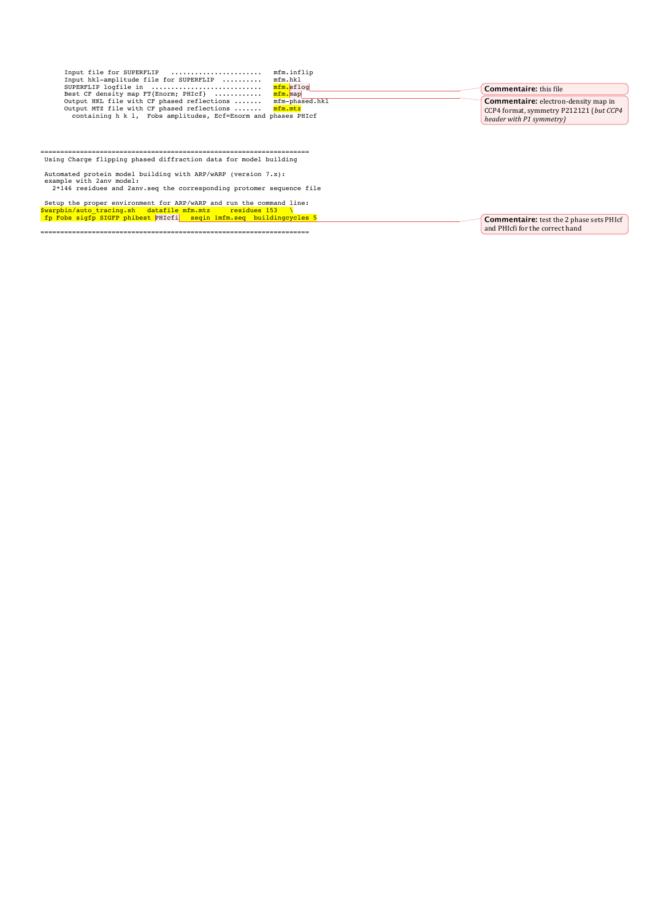| Input file for SUPERFLIP                                      | mfm.inflip     |                                             |
|---------------------------------------------------------------|----------------|---------------------------------------------|
| Input hkl-amplitude file for SUPERFLIP                        | mfm.hkl        |                                             |
| SUPERFLIP logfile in                                          | mfm.sflog      | <b>Commentaire:</b> this file               |
| Best CF density map FT{Enorm; PHIcf}                          | mfm.map        |                                             |
| Output HKL file with CF phased reflections                    | mfm-phased.hkl | <b>Commentaire:</b> electron-density map in |
| Output MTZ file with CF phased reflections  mfm.mtz           |                | CCP4 format, symmetry P212121 (but CCP4     |
| containing h k l, Fobs amplitudes, Ecf=Enorm and phases PHIcf |                | header with P1 symmetry)                    |

#### ==================================================================== Using Charge flipping phased diffraction data for model building

Automated protein model building with ARP/wARP (version 7.x):<br>example with 2anv model:<br>2\*146 residues and 2anv.seq the corresponding protomer sequence file

Setup the proper environment for ARP/wARP and run the command line:<br><mark>\$warpbin/auto\_tracing.sh datafile mfm.mtz residues 153 \</mark><br>fp Fobs sigfp SIGFP phibest PHIcfi seqin 1mfm.seq buildingcycles 5

====================================================================

**Commentaire:** test the 2 phase sets PHIcf and PHIcfi for the correct hand